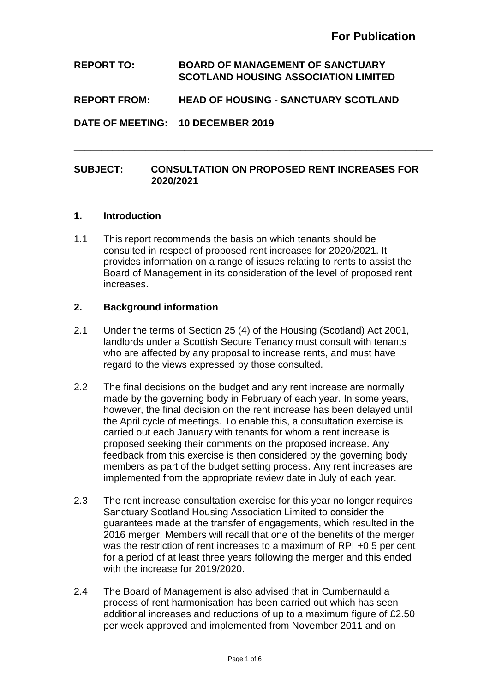# **REPORT TO: BOARD OF MANAGEMENT OF SANCTUARY SCOTLAND HOUSING ASSOCIATION LIMITED**

## **REPORT FROM: HEAD OF HOUSING - SANCTUARY SCOTLAND**

**DATE OF MEETING: 10 DECEMBER 2019**

## **SUBJECT: CONSULTATION ON PROPOSED RENT INCREASES FOR 2020/2021**

**\_\_\_\_\_\_\_\_\_\_\_\_\_\_\_\_\_\_\_\_\_\_\_\_\_\_\_\_\_\_\_\_\_\_\_\_\_\_\_\_\_\_\_\_\_\_\_\_\_\_\_\_\_\_\_\_\_\_\_\_\_\_\_\_\_**

**\_\_\_\_\_\_\_\_\_\_\_\_\_\_\_\_\_\_\_\_\_\_\_\_\_\_\_\_\_\_\_\_\_\_\_\_\_\_\_\_\_\_\_\_\_\_\_\_\_\_\_\_\_\_\_\_\_\_\_\_\_\_\_\_\_**

## **1. Introduction**

1.1 This report recommends the basis on which tenants should be consulted in respect of proposed rent increases for 2020/2021. It provides information on a range of issues relating to rents to assist the Board of Management in its consideration of the level of proposed rent increases.

#### **2. Background information**

- 2.1 Under the terms of Section 25 (4) of the Housing (Scotland) Act 2001, landlords under a Scottish Secure Tenancy must consult with tenants who are affected by any proposal to increase rents, and must have regard to the views expressed by those consulted.
- 2.2 The final decisions on the budget and any rent increase are normally made by the governing body in February of each year. In some years, however, the final decision on the rent increase has been delayed until the April cycle of meetings. To enable this, a consultation exercise is carried out each January with tenants for whom a rent increase is proposed seeking their comments on the proposed increase. Any feedback from this exercise is then considered by the governing body members as part of the budget setting process. Any rent increases are implemented from the appropriate review date in July of each year.
- 2.3 The rent increase consultation exercise for this year no longer requires Sanctuary Scotland Housing Association Limited to consider the guarantees made at the transfer of engagements, which resulted in the 2016 merger. Members will recall that one of the benefits of the merger was the restriction of rent increases to a maximum of RPI +0.5 per cent for a period of at least three years following the merger and this ended with the increase for 2019/2020.
- 2.4 The Board of Management is also advised that in Cumbernauld a process of rent harmonisation has been carried out which has seen additional increases and reductions of up to a maximum figure of £2.50 per week approved and implemented from November 2011 and on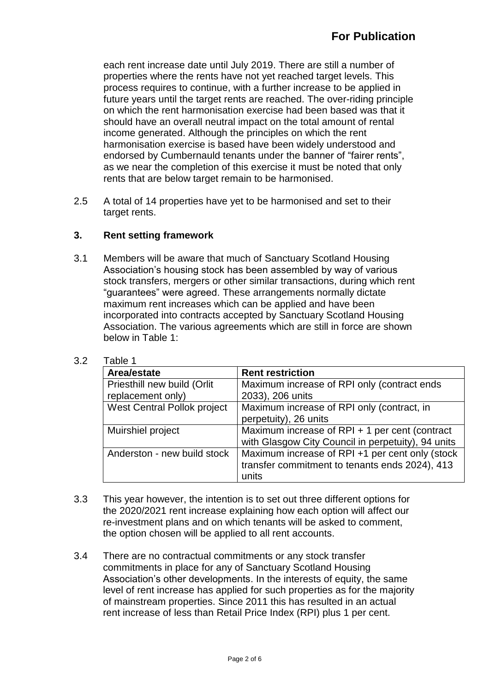each rent increase date until July 2019. There are still a number of properties where the rents have not yet reached target levels. This process requires to continue, with a further increase to be applied in future years until the target rents are reached. The over-riding principle on which the rent harmonisation exercise had been based was that it should have an overall neutral impact on the total amount of rental income generated. Although the principles on which the rent harmonisation exercise is based have been widely understood and endorsed by Cumbernauld tenants under the banner of "fairer rents", as we near the completion of this exercise it must be noted that only rents that are below target remain to be harmonised.

2.5 A total of 14 properties have yet to be harmonised and set to their target rents.

## **3. Rent setting framework**

3.1 Members will be aware that much of Sanctuary Scotland Housing Association's housing stock has been assembled by way of various stock transfers, mergers or other similar transactions, during which rent "guarantees" were agreed. These arrangements normally dictate maximum rent increases which can be applied and have been incorporated into contracts accepted by Sanctuary Scotland Housing Association. The various agreements which are still in force are shown below in Table 1:

| Area/estate                 | <b>Rent restriction</b>                            |
|-----------------------------|----------------------------------------------------|
| Priesthill new build (Orlit | Maximum increase of RPI only (contract ends        |
| replacement only)           | 2033), 206 units                                   |
| West Central Pollok project | Maximum increase of RPI only (contract, in         |
|                             | perpetuity), 26 units                              |
| Muirshiel project           | Maximum increase of RPI + 1 per cent (contract     |
|                             | with Glasgow City Council in perpetuity), 94 units |
| Anderston - new build stock | Maximum increase of RPI +1 per cent only (stock    |
|                             | transfer commitment to tenants ends 2024), 413     |
|                             | units                                              |

3.2 Table 1

- 3.3 This year however, the intention is to set out three different options for the 2020/2021 rent increase explaining how each option will affect our re-investment plans and on which tenants will be asked to comment, the option chosen will be applied to all rent accounts.
- 3.4 There are no contractual commitments or any stock transfer commitments in place for any of Sanctuary Scotland Housing Association's other developments. In the interests of equity, the same level of rent increase has applied for such properties as for the majority of mainstream properties. Since 2011 this has resulted in an actual rent increase of less than Retail Price Index (RPI) plus 1 per cent.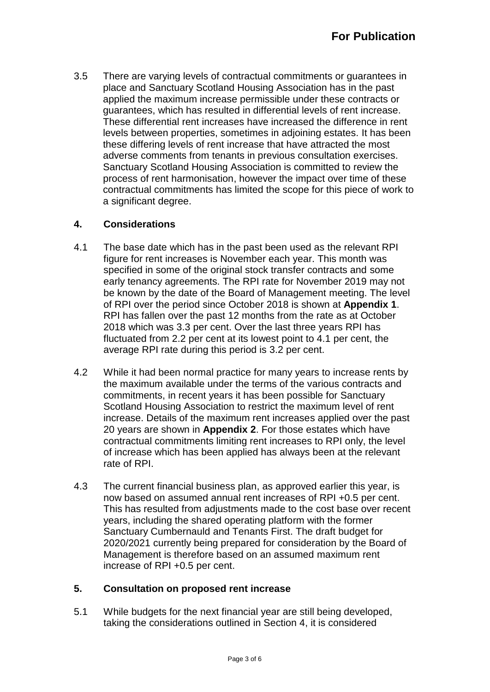3.5 There are varying levels of contractual commitments or guarantees in place and Sanctuary Scotland Housing Association has in the past applied the maximum increase permissible under these contracts or guarantees, which has resulted in differential levels of rent increase. These differential rent increases have increased the difference in rent levels between properties, sometimes in adjoining estates. It has been these differing levels of rent increase that have attracted the most adverse comments from tenants in previous consultation exercises. Sanctuary Scotland Housing Association is committed to review the process of rent harmonisation, however the impact over time of these contractual commitments has limited the scope for this piece of work to a significant degree.

# **4. Considerations**

- 4.1 The base date which has in the past been used as the relevant RPI figure for rent increases is November each year. This month was specified in some of the original stock transfer contracts and some early tenancy agreements. The RPI rate for November 2019 may not be known by the date of the Board of Management meeting. The level of RPI over the period since October 2018 is shown at **Appendix 1**. RPI has fallen over the past 12 months from the rate as at October 2018 which was 3.3 per cent. Over the last three years RPI has fluctuated from 2.2 per cent at its lowest point to 4.1 per cent, the average RPI rate during this period is 3.2 per cent.
- 4.2 While it had been normal practice for many years to increase rents by the maximum available under the terms of the various contracts and commitments, in recent years it has been possible for Sanctuary Scotland Housing Association to restrict the maximum level of rent increase. Details of the maximum rent increases applied over the past 20 years are shown in **Appendix 2**. For those estates which have contractual commitments limiting rent increases to RPI only, the level of increase which has been applied has always been at the relevant rate of RPI.
- 4.3 The current financial business plan, as approved earlier this year, is now based on assumed annual rent increases of RPI +0.5 per cent. This has resulted from adjustments made to the cost base over recent years, including the shared operating platform with the former Sanctuary Cumbernauld and Tenants First. The draft budget for 2020/2021 currently being prepared for consideration by the Board of Management is therefore based on an assumed maximum rent increase of RPI +0.5 per cent.

# **5. Consultation on proposed rent increase**

5.1 While budgets for the next financial year are still being developed, taking the considerations outlined in Section 4, it is considered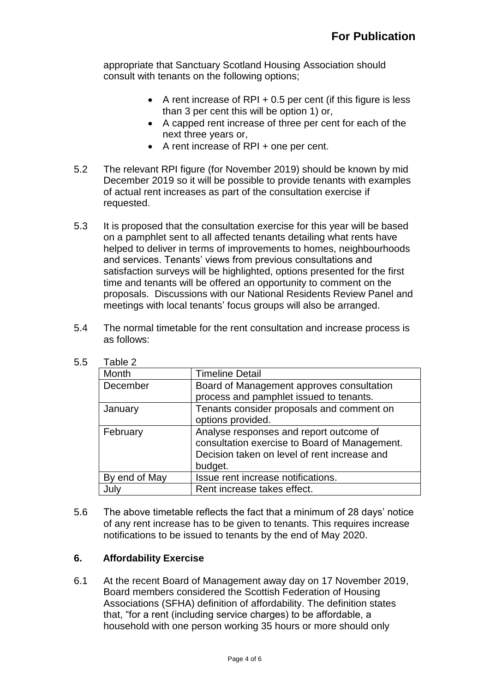appropriate that Sanctuary Scotland Housing Association should consult with tenants on the following options;

- A rent increase of RPI  $+0.5$  per cent (if this figure is less than 3 per cent this will be option 1) or,
- A capped rent increase of three per cent for each of the next three years or,
- A rent increase of RPI + one per cent.
- 5.2 The relevant RPI figure (for November 2019) should be known by mid December 2019 so it will be possible to provide tenants with examples of actual rent increases as part of the consultation exercise if requested.
- 5.3 It is proposed that the consultation exercise for this year will be based on a pamphlet sent to all affected tenants detailing what rents have helped to deliver in terms of improvements to homes, neighbourhoods and services. Tenants' views from previous consultations and satisfaction surveys will be highlighted, options presented for the first time and tenants will be offered an opportunity to comment on the proposals. Discussions with our National Residents Review Panel and meetings with local tenants' focus groups will also be arranged.
- 5.4 The normal timetable for the rent consultation and increase process is as follows:

| Month         | <b>Timeline Detail</b>                        |
|---------------|-----------------------------------------------|
| December      | Board of Management approves consultation     |
|               | process and pamphlet issued to tenants.       |
| January       | Tenants consider proposals and comment on     |
|               | options provided.                             |
| February      | Analyse responses and report outcome of       |
|               | consultation exercise to Board of Management. |
|               | Decision taken on level of rent increase and  |
|               | budget.                                       |
| By end of May | Issue rent increase notifications.            |
| July          | Rent increase takes effect.                   |

5.5 Table 2

5.6 The above timetable reflects the fact that a minimum of 28 days' notice of any rent increase has to be given to tenants. This requires increase notifications to be issued to tenants by the end of May 2020.

# **6. Affordability Exercise**

6.1 At the recent Board of Management away day on 17 November 2019, Board members considered the Scottish Federation of Housing Associations (SFHA) definition of affordability. The definition states that, "for a rent (including service charges) to be affordable, a household with one person working 35 hours or more should only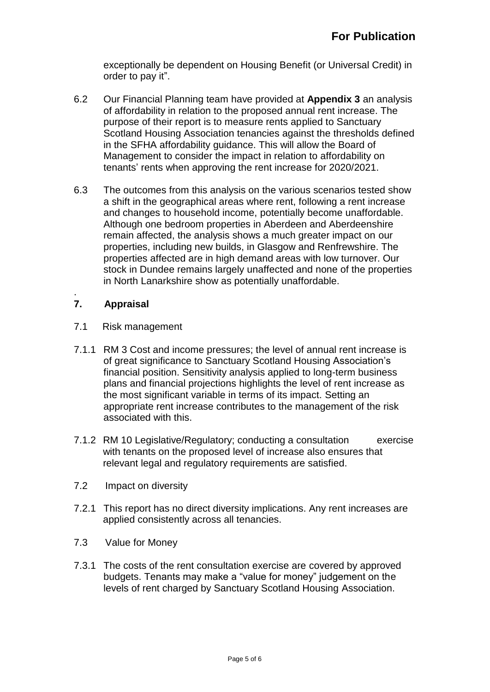exceptionally be dependent on Housing Benefit (or Universal Credit) in order to pay it".

- 6.2 Our Financial Planning team have provided at **Appendix 3** an analysis of affordability in relation to the proposed annual rent increase. The purpose of their report is to measure rents applied to Sanctuary Scotland Housing Association tenancies against the thresholds defined in the SFHA affordability guidance. This will allow the Board of Management to consider the impact in relation to affordability on tenants' rents when approving the rent increase for 2020/2021.
- 6.3 The outcomes from this analysis on the various scenarios tested show a shift in the geographical areas where rent, following a rent increase and changes to household income, potentially become unaffordable. Although one bedroom properties in Aberdeen and Aberdeenshire remain affected, the analysis shows a much greater impact on our properties, including new builds, in Glasgow and Renfrewshire. The properties affected are in high demand areas with low turnover. Our stock in Dundee remains largely unaffected and none of the properties in North Lanarkshire show as potentially unaffordable.

#### . **7. Appraisal**

- 7.1 Risk management
- 7.1.1 RM 3 Cost and income pressures; the level of annual rent increase is of great significance to Sanctuary Scotland Housing Association's financial position. Sensitivity analysis applied to long-term business plans and financial projections highlights the level of rent increase as the most significant variable in terms of its impact. Setting an appropriate rent increase contributes to the management of the risk associated with this.
- 7.1.2 RM 10 Legislative/Regulatory; conducting a consultation exercise with tenants on the proposed level of increase also ensures that relevant legal and regulatory requirements are satisfied.
- 7.2 Impact on diversity
- 7.2.1 This report has no direct diversity implications. Any rent increases are applied consistently across all tenancies.
- 7.3 Value for Money
- 7.3.1 The costs of the rent consultation exercise are covered by approved budgets. Tenants may make a "value for money" judgement on the levels of rent charged by Sanctuary Scotland Housing Association.